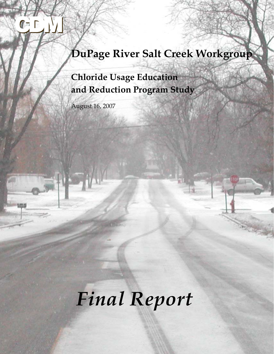# **DuPage River Salt Creek Workgroup**

**Chloride Usage Education and Reduction Program Study**

August 16, 2007

Г

# *Final Report*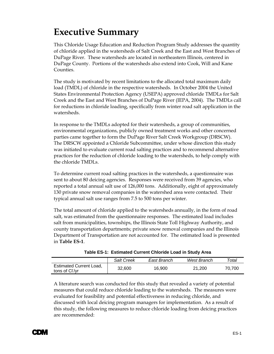# <span id="page-1-0"></span>**Executive Summary**

This Chloride Usage Education and Reduction Program Study addresses the quantity of chloride applied in the watersheds of Salt Creek and the East and West Branches of DuPage River. These watersheds are located in northeastern Illinois, centered in DuPage County. Portions of the watersheds also extend into Cook, Will and Kane Counties.

The study is motivated by recent limitations to the allocated total maximum daily load (TMDL) of chloride in the respective watersheds. In October 2004 the United States Environmental Protection Agency (USEPA) approved chloride TMDLs for Salt Creek and the East and West Branches of DuPage River (IEPA, 2004). The TMDLs call for reductions in chloride loading, specifically from winter road salt application in the watersheds.

In response to the TMDLs adopted for their watersheds, a group of communities, environmental organizations, publicly owned treatment works and other concerned parties came together to form the DuPage River Salt Creek Workgroup (DRSCW). The DRSCW appointed a Chloride Subcommittee, under whose direction this study was initiated to evaluate current road salting practices and to recommend alternative practices for the reduction of chloride loading to the watersheds, to help comply with the chloride TMDLs.

To determine current road salting practices in the watersheds, a questionnaire was sent to about 80 deicing agencies. Responses were received from 39 agencies, who reported a total annual salt use of 126,000 tons. Additionally, eight of approximately 130 private snow removal companies in the watershed area were contacted. Their typical annual salt use ranges from 7.5 to 500 tons per winter.

The total amount of chloride applied to the watersheds annually, in the form of road salt, was estimated from the questionnaire responses. The estimated load includes salt from municipalities, townships, the Illinois State Toll Highway Authority, and county transportation departments; private snow removal companies and the Illinois Department of Transportation are not accounted for. The estimated load is presented in **Table ES-1**.

|                                                  | Salt Creek | East Branch | West Branch | Total  |
|--------------------------------------------------|------------|-------------|-------------|--------|
| <b>Estimated Current Load,</b><br>tons of Cl /yr | 32,600     | 16,900      | 21.200      | 70.700 |

|  |  | Table ES-1: Estimated Current Chloride Load in Study Area |  |  |
|--|--|-----------------------------------------------------------|--|--|
|--|--|-----------------------------------------------------------|--|--|

A literature search was conducted for this study that revealed a variety of potential measures that could reduce chloride loading to the watersheds. The measures were evaluated for feasibility and potential effectiveness in reducing chloride, and discussed with local deicing program managers for implementation. As a result of this study, the following measures to reduce chloride loading from deicing practices are recommended:

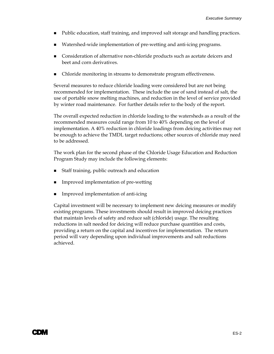- Public education, staff training, and improved salt storage and handling practices.
- Watershed-wide implementation of pre-wetting and anti-icing programs.
- Consideration of alternative non-chloride products such as acetate deicers and beet and corn derivatives.
- Chloride monitoring in streams to demonstrate program effectiveness.

Several measures to reduce chloride loading were considered but are not being recommended for implementation. These include the use of sand instead of salt, the use of portable snow melting machines, and reduction in the level of service provided by winter road maintenance. For further details refer to the body of the report.

The overall expected reduction in chloride loading to the watersheds as a result of the recommended measures could range from 10 to 40% depending on the level of implementation. A 40% reduction in chloride loadings from deicing activities may not be enough to achieve the TMDL target reductions; other sources of chloride may need to be addressed.

The work plan for the second phase of the Chloride Usage Education and Reduction Program Study may include the following elements:

- Staff training, public outreach and education
- Improved implementation of pre-wetting
- Improved implementation of anti-icing

Capital investment will be necessary to implement new deicing measures or modify existing programs. These investments should result in improved deicing practices that maintain levels of safety and reduce salt (chloride) usage. The resulting reductions in salt needed for deicing will reduce purchase quantities and costs, providing a return on the capital and incentives for implementation. The return period will vary depending upon individual improvements and salt reductions achieved.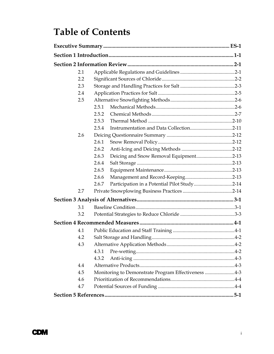# **Table of Contents**

| 2.1 |                                                     |  |
|-----|-----------------------------------------------------|--|
| 2.2 |                                                     |  |
| 2.3 |                                                     |  |
| 2.4 |                                                     |  |
| 2.5 |                                                     |  |
|     | 2.5.1                                               |  |
|     | 2.5.2                                               |  |
|     | 2.5.3                                               |  |
|     | 2.5.4                                               |  |
| 2.6 |                                                     |  |
|     | 2.6.1                                               |  |
|     | 2.6.2                                               |  |
|     | Deicing and Snow Removal Equipment2-13<br>2.6.3     |  |
|     | 2.6.4                                               |  |
|     | 2.6.5                                               |  |
|     | 2.6.6                                               |  |
|     | 2.6.7                                               |  |
| 2.7 |                                                     |  |
|     |                                                     |  |
| 3.1 |                                                     |  |
| 3.2 |                                                     |  |
|     |                                                     |  |
| 4.1 |                                                     |  |
| 4.2 |                                                     |  |
| 4.3 |                                                     |  |
|     | 4.3.1                                               |  |
|     | 4.3.2                                               |  |
| 4.4 |                                                     |  |
| 4.5 | Monitoring to Demonstrate Program Effectiveness 4-3 |  |
| 4.6 |                                                     |  |
| 4.7 |                                                     |  |
|     |                                                     |  |

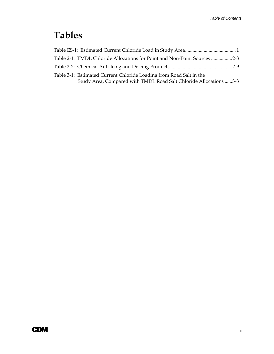# **Tables**

| Table 2-1: TMDL Chloride Allocations for Point and Non-Point Sources 2-3                                                                  |  |
|-------------------------------------------------------------------------------------------------------------------------------------------|--|
|                                                                                                                                           |  |
| Table 3-1: Estimated Current Chloride Loading from Road Salt in the<br>Study Area, Compared with TMDL Road Salt Chloride Allocations  3-3 |  |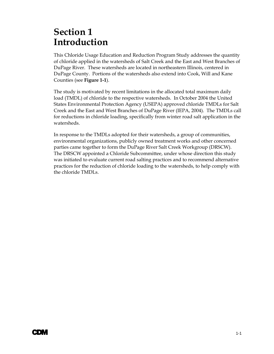# <span id="page-5-0"></span>**Section 1 Introduction**

This Chloride Usage Education and Reduction Program Study addresses the quantity of chloride applied in the watersheds of Salt Creek and the East and West Branches of DuPage River. These watersheds are located in northeastern Illinois, centered in DuPage County. Portions of the watersheds also extend into Cook, Will and Kane Counties (see **Figure 1-1**).

The study is motivated by recent limitations in the allocated total maximum daily load (TMDL) of chloride to the respective watersheds. In October 2004 the United States Environmental Protection Agency (USEPA) approved chloride TMDLs for Salt Creek and the East and West Branches of DuPage River (IEPA, 2004). The TMDLs call for reductions in chloride loading, specifically from winter road salt application in the watersheds.

In response to the TMDLs adopted for their watersheds, a group of communities, environmental organizations, publicly owned treatment works and other concerned parties came together to form the DuPage River Salt Creek Workgroup (DRSCW). The DRSCW appointed a Chloride Subcommittee, under whose direction this study was initiated to evaluate current road salting practices and to recommend alternative practices for the reduction of chloride loading to the watersheds, to help comply with the chloride TMDLs.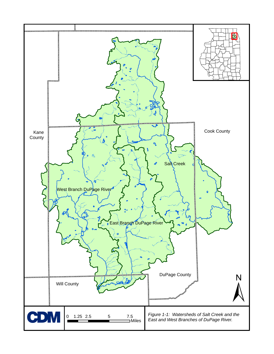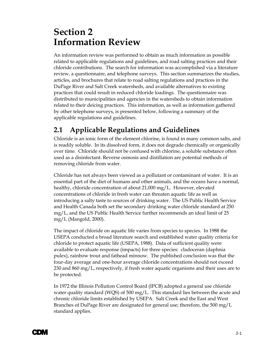# <span id="page-7-0"></span>**Section 2 Information Review**

An information review was performed to obtain as much information as possible related to applicable regulations and guidelines, and road salting practices and their chloride contributions. The search for information was accomplished via a literature review, a questionnaire, and telephone surveys. This section summarizes the studies, articles, and brochures that relate to road salting regulations and practices in the DuPage River and Salt Creek watersheds, and available alternatives to existing practices that could result in reduced chloride loadings. The questionnaire was distributed to municipalities and agencies in the watersheds to obtain information related to their deicing practices. This information, as well as information gathered by other telephone surveys, is presented below, following a summary of the applicable regulations and guidelines.

# **2.1 Applicable Regulations and Guidelines**

Chloride is an ionic form of the element chlorine, is found in many common salts, and is readily soluble. In its dissolved form, it does not degrade chemically or organically over time. Chloride should not be confused with chlorine, a soluble substance often used as a disinfectant. Reverse osmosis and distillation are potential methods of removing chloride from water.

Chloride has not always been viewed as a pollutant or contaminant of water. It is an essential part of the diet of humans and other animals, and the oceans have a normal, healthy, chloride concentration of about 21,000 mg/L. However, elevated concentrations of chloride in fresh water can threaten aquatic life as well as introducing a salty taste to sources of drinking water. The US Public Health Service and Health Canada both set the secondary drinking water chloride standard at 250 mg/L, and the US Public Health Service further recommends an ideal limit of 25 mg/L (Mangold, 2000).

The impact of chloride on aquatic life varies from species to species. In 1988 the USEPA conducted a broad literature search and established water quality criteria for chloride to protect aquatic life (USEPA, 1988). Data of sufficient quality were available to evaluate response (impacts) for three species: cladoceran (daphnia pulex), rainbow trout and fathead minnow. The published conclusion was that the four-day average and one-hour average chloride concentrations should not exceed 230 and 860 mg/L, respectively, if fresh water aquatic organisms and their uses are to be protected.

In 1972 the Illinois Pollution Control Board (IPCB) adopted a general use chloride water quality standard (WQS) of 500 mg/L. This standard lies between the acute and chronic chloride limits established by USEPA. Salt Creek and the East and West Branches of DuPage River are designated for general use; therefore, the 500 mg/L standard applies.

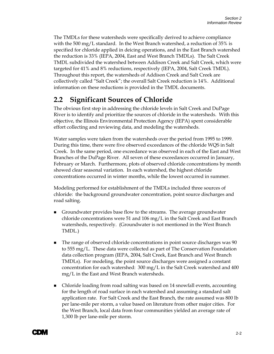<span id="page-8-0"></span>The TMDLs for these watersheds were specifically derived to achieve compliance with the 500 mg/L standard. In the West Branch watershed, a reduction of 35% is specified for chloride applied in deicing operations, and in the East Branch watershed the reduction is 33% (IEPA, 2004, East and West Branch TMDLs). The Salt Creek TMDL subdivided the watershed between Addison Creek and Salt Creek, which were targeted for 41% and 8% reductions, respectively (IEPA, 2004, Salt Creek TMDL). Throughout this report, the watersheds of Addison Creek and Salt Creek are collectively called "Salt Creek"; the overall Salt Creek reduction is 14%. Additional information on these reductions is provided in the TMDL documents.

### **2.2 Significant Sources of Chloride**

The obvious first step in addressing the chloride levels in Salt Creek and DuPage River is to identify and prioritize the sources of chloride in the watersheds. With this objective, the Illinois Environmental Protection Agency (IEPA) spent considerable effort collecting and reviewing data, and modeling the watersheds.

Water samples were taken from the watersheds over the period from 1995 to 1999. During this time, there were five observed exceedances of the chloride WQS in Salt Creek. In the same period, one exceedance was observed in each of the East and West Branches of the DuPage River. All seven of these exceedances occurred in January, February or March. Furthermore, plots of observed chloride concentrations by month showed clear seasonal variation. In each watershed, the highest chloride concentrations occurred in winter months, while the lowest occurred in summer.

Modeling performed for establishment of the TMDLs included three sources of chloride: the background groundwater concentration, point source discharges and road salting.

- Groundwater provides base flow to the streams. The average groundwater chloride concentrations were 51 and 106 mg/L in the Salt Creek and East Branch watersheds, respectively. (Groundwater is not mentioned in the West Branch TMDL.)
- The range of observed chloride concentrations in point source discharges was 90 to 555 mg/L. These data were collected as part of The Conservation Foundation data collection program (IEPA, 2004, Salt Creek, East Branch and West Branch TMDLs). For modeling, the point source discharges were assigned a constant concentration for each watershed:  $300 \text{ mg/L}$  in the Salt Creek watershed and 400 mg/L in the East and West Branch watersheds.
- Chloride loading from road salting was based on 14 snowfall events, accounting for the length of road surface in each watershed and assuming a standard salt application rate. For Salt Creek and the East Branch, the rate assumed was 800 lb per lane-mile per storm, a value based on literature from other major cities. For the West Branch, local data from four communities yielded an average rate of 1,300 lb per lane-mile per storm.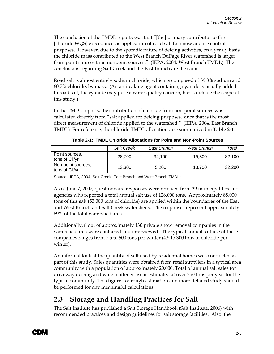<span id="page-9-0"></span>The conclusion of the TMDL reports was that "[the] primary contributor to the [chloride WQS] exceedances is application of road salt for snow and ice control purposes. However, due to the sporadic nature of deicing activities, on a yearly basis, the chloride mass contributed to the West Branch DuPage River watershed is larger from point sources than nonpoint sources." (IEPA, 2004, West Branch TMDL) The conclusions regarding Salt Creek and the East Branch are the same.

Road salt is almost entirely sodium chloride, which is composed of 39.3% sodium and 60.7% chloride, by mass. (An anti-caking agent containing cyanide is usually added to road salt; the cyanide may pose a water quality concern, but is outside the scope of this study.)

In the TMDL reports, the contribution of chloride from non-point sources was calculated directly from "salt applied for deicing purposes, since that is the most direct measurement of chloride applied to the watershed." (IEPA, 2004, East Branch TMDL) For reference, the chloride TMDL allocations are summarized in **Table 2-1**.

|                                      | <b>Salt Creek</b> | East Branch | West Branch | Total  |
|--------------------------------------|-------------------|-------------|-------------|--------|
| Point sources,<br>tons of Cl /yr     | 28.700            | 34.100      | 19.300      | 82,100 |
| Non-point sources,<br>tons of Cl /yr | 13.300            | 5.200       | 13.700      | 32,200 |

**Table 2-1: TMDL Chloride Allocations for Point and Non-Point Sources** 

Source: IEPA, 2004, Salt Creek, East Branch and West Branch TMDLs.

As of June 7, 2007, questionnaire responses were received from 39 municipalities and agencies who reported a total annual salt use of 126,000 tons. Approximately 88,000 tons of this salt (53,000 tons of chloride) are applied within the boundaries of the East and West Branch and Salt Creek watersheds. The responses represent approximately 69% of the total watershed area.

Additionally, 8 out of approximately 130 private snow removal companies in the watershed area were contacted and interviewed. The typical annual salt use of these companies ranges from 7.5 to 500 tons per winter (4.5 to 300 tons of chloride per winter).

An informal look at the quantity of salt used by residential homes was conducted as part of this study. Sales quantities were obtained from retail suppliers in a typical area community with a population of approximately 20,000. Total of annual salt sales for driveway deicing and water softener use is estimated at over 250 tons per year for the typical community. This figure is a rough estimation and more detailed study should be performed for any meaningful calculations.

# **2.3 Storage and Handling Practices for Salt**

The Salt Institute has published a Salt Storage Handbook (Salt Institute, 2006) with recommended practices and design guidelines for salt storage facilities. Also, the

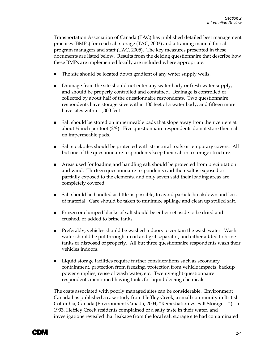Transportation Association of Canada (TAC) has published detailed best management practices (BMPs) for road salt storage (TAC, 2003) and a training manual for salt program managers and staff (TAC, 2005). The key measures presented in these documents are listed below. Results from the deicing questionnaire that describe how these BMPs are implemented locally are included where appropriate:

- The site should be located down gradient of any water supply wells.
- **Drainage from the site should not enter any water body or fresh water supply,** and should be properly controlled and contained. Drainage is controlled or collected by about half of the questionnaire respondents. Two questionnaire respondents have storage sites within 100 feet of a water body, and fifteen more have sites within 1,000 feet.
- **Salt should be stored on impermeable pads that slope away from their centers at** about ¼ inch per foot (2%). Five questionnaire respondents do not store their salt on impermeable pads.
- **Salt stockpiles should be protected with structural roofs or temporary covers. All** but one of the questionnaire respondents keep their salt in a storage structure.
- Areas used for loading and handling salt should be protected from precipitation and wind. Thirteen questionnaire respondents said their salt is exposed or partially exposed to the elements, and only seven said their loading areas are completely covered.
- Salt should be handled as little as possible, to avoid particle breakdown and loss of material. Care should be taken to minimize spillage and clean up spilled salt.
- **Frozen or clumped blocks of salt should be either set aside to be dried and** crushed, or added to brine tanks.
- **Preferably, vehicles should be washed indoors to contain the wash water. Wash** water should be put through an oil and grit separator, and either added to brine tanks or disposed of properly. All but three questionnaire respondents wash their vehicles indoors.
- Liquid storage facilities require further considerations such as secondary containment, protection from freezing, protection from vehicle impacts, backup power supplies, reuse of wash water, etc. Twenty-eight questionnaire respondents mentioned having tanks for liquid deicing chemicals.

The costs associated with poorly managed sites can be considerable. Environment Canada has published a case study from Heffley Creek, a small community in British Columbia, Canada (Environment Canada, 2004, "Remediation vs. Salt Storage…"). In 1993, Heffley Creek residents complained of a salty taste in their water, and investigations revealed that leakage from the local salt storage site had contaminated

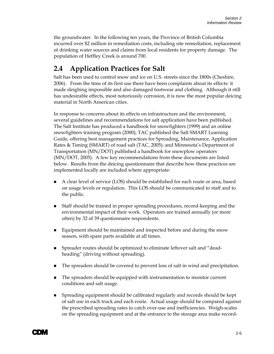<span id="page-11-0"></span>the groundwater. In the following ten years, the Province of British Columbia incurred over \$2 million in remediation costs, including site remediation, replacement of drinking water sources and claims from local residents for property damage. The population of Heffley Creek is around 700.

# **2.4 Application Practices for Salt**

Salt has been used to control snow and ice on U.S. streets since the 1800s (Cheshire, 2006). From the time of its first use there have been complaints about its effects: it made sleighing impossible and also damaged footwear and clothing. Although it still has undesirable effects, most notoriously corrosion, it is now the most popular deicing material in North American cities.

In response to concerns about its effects on infrastructure and the environment, several guidelines and recommendations for salt application have been published. The Salt Institute has produced a handbook for snowfighters (1999) and an online snowfighters training program (2000); TAC published the Salt SMART Learning Guide, offering best management practices for Spreading, Maintenance, Application Rates & Timing (SMART) of road salt (TAC, 2005); and Minnesota's Department of Transportation (MN/DOT) published a handbook for snowplow operators (MN/DOT, 2005). A few key recommendations from these documents are listed below. Results from the deicing questionnaire that describe how these practices are implemented locally are included where appropriate:

- A clear level of service (LOS) should be established for each route or area, based on usage levels or regulation. This LOS should be communicated to staff and to the public.
- Staff should be trained in proper spreading procedures, record-keeping and the environmental impact of their work. Operators are trained annually (or more often) by 32 of 39 questionnaire respondents.
- **Equipment should be maintained and inspected before and during the snow** season, with spare parts available at all times.
- **Spreader routes should be optimized to eliminate leftover salt and "dead**heading" (driving without spreading).
- The spreaders should be covered to prevent loss of salt in wind and precipitation.
- The spreaders should be equipped with instrumentation to monitor current conditions and salt usage.
- Spreading equipment should be calibrated regularly and records should be kept of salt use in each truck and each route. Actual usage should be compared against the prescribed spreading rates to catch over-use and inefficiencies. Weigh-scales on the spreading equipment and at the entrance to the storage area make record-

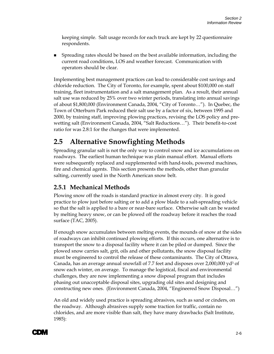<span id="page-12-0"></span>keeping simple. Salt usage records for each truck are kept by 22 questionnaire respondents.

 Spreading rates should be based on the best available information, including the current road conditions, LOS and weather forecast. Communication with operators should be clear.

Implementing best management practices can lead to considerable cost savings and chloride reduction. The City of Toronto, for example, spent about \$100,000 on staff training, fleet instrumentation and a salt management plan. As a result, their annual salt use was reduced by 25% over two winter periods, translating into annual savings of about \$1,800,000 (Environment Canada, 2004, "City of Toronto…"). In Quebec, the Town of Otterburn Park reduced their salt use by a factor of six, between 1995 and 2000, by training staff, improving plowing practices, revising the LOS policy and prewetting salt (Environment Canada, 2004, "Salt Reductions…"). Their benefit-to-cost ratio for was 2.8:1 for the changes that were implemented.

### **2.5 Alternative Snowfighting Methods**

Spreading granular salt is not the only way to control snow and ice accumulations on roadways. The earliest human technique was plain manual effort. Manual efforts were subsequently replaced and supplemented with hand-tools, powered machines, fire and chemical agents. This section presents the methods, other than granular salting, currently used in the North American snow belt.

#### **2.5.1 Mechanical Methods**

Plowing snow off the roads is standard practice in almost every city. It is good practice to plow just before salting or to add a plow blade to a salt-spreading vehicle so that the salt is applied to a bare or near-bare surface. Otherwise salt can be wasted by melting heavy snow, or can be plowed off the roadway before it reaches the road surface (TAC, 2005).

If enough snow accumulates between melting events, the mounds of snow at the sides of roadways can inhibit continued plowing efforts. If this occurs, one alternative is to transport the snow to a disposal facility where it can be piled or dumped. Since the plowed snow carries salt, grit, oils and other pollutants, the snow disposal facility must be engineered to control the release of these contaminants. The City of Ottawa, Canada, has an average annual snowfall of 7.7 feet and disposes over  $2,000,000$  yd<sup>3</sup> of snow each winter, on average. To manage the logistical, fiscal and environmental challenges, they are now implementing a snow disposal program that includes phasing out unacceptable disposal sites, upgrading old sites and designing and constructing new ones. (Environment Canada, 2004, "Engineered Snow Disposal…")

An old and widely used practice is spreading abrasives, such as sand or cinders, on the roadway. Although abrasives supply some traction for traffic, contain no chlorides, and are more visible than salt, they have many drawbacks (Salt Institute, 1985):

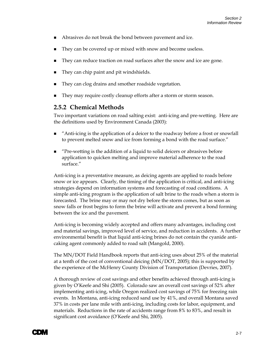- <span id="page-13-0"></span>Abrasives do not break the bond between pavement and ice.
- They can be covered up or mixed with snow and become useless.
- They can reduce traction on road surfaces after the snow and ice are gone.
- They can chip paint and pit windshields.
- They can clog drains and smother roadside vegetation.
- They may require costly cleanup efforts after a storm or storm season.

#### **2.5.2 Chemical Methods**

Two important variations on road salting exist: anti-icing and pre-wetting. Here are the definitions used by Environment Canada (2003):

- "Anti-icing is the application of a deicer to the roadway before a frost or snowfall to prevent melted snow and ice from forming a bond with the road surface."
- "Pre-wetting is the addition of a liquid to solid deicers or abrasives before application to quicken melting and improve material adherence to the road surface."

Anti-icing is a preventative measure, as deicing agents are applied to roads before snow or ice appears. Clearly, the timing of the application is critical, and anti-icing strategies depend on information systems and forecasting of road conditions. A simple anti-icing program is the application of salt brine to the roads when a storm is forecasted. The brine may or may not dry before the storm comes, but as soon as snow falls or frost begins to form the brine will activate and prevent a bond forming between the ice and the pavement.

Anti-icing is becoming widely accepted and offers many advantages, including cost and material savings, improved level of service, and reduction in accidents. A further environmental benefit is that liquid anti-icing brines do not contain the cyanide anticaking agent commonly added to road salt (Mangold, 2000).

The MN/DOT Field Handbook reports that anti-icing uses about 25% of the material at a tenth of the cost of conventional deicing (MN/DOT, 2005); this is supported by the experience of the McHenry County Division of Transportation (Devries, 2007).

A thorough review of cost savings and other benefits achieved through anti-icing is given by O'Keefe and Shi (2005). Colorado saw an overall cost savings of 52% after implementing anti-icing, while Oregon realized cost savings of 75% for freezing rain events. In Montana, anti-icing reduced sand use by 41%, and overall Montana saved 37% in costs per lane mile with anti-icing, including costs for labor, equipment, and materials. Reductions in the rate of accidents range from 8% to 83%, and result in significant cost avoidance (O'Keefe and Shi, 2005).

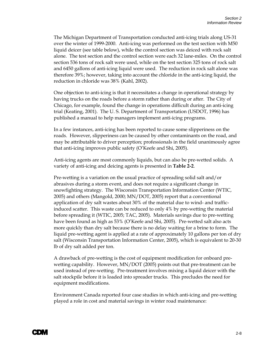The Michigan Department of Transportation conducted anti-icing trials along US-31 over the winter of 1999-2000. Anti-icing was performed on the test section with M50 liquid deicer (see table below), while the control section was deiced with rock salt alone. The test section and the control section were each 32 lane-miles. On the control section 536 tons of rock salt were used, while on the test section 325 tons of rock salt and 6450 gallons of anti-icing liquid were used. The reduction in rock salt alone was therefore 39%; however, taking into account the chloride in the anti-icing liquid, the reduction in chloride was 38% (Kahl, 2002).

One objection to anti-icing is that it necessitates a change in operational strategy by having trucks on the roads before a storm rather than during or after. The City of Chicago, for example, found the change in operations difficult during an anti-icing trial (Keating, 2001). The U. S. Department of Transportation (USDOT, 1996) has published a manual to help managers implement anti-icing programs.

In a few instances, anti-icing has been reported to cause some slipperiness on the roads. However, slipperiness can be caused by other contaminants on the road, and may be attributable to driver perception; professionals in the field unanimously agree that anti-icing improves public safety (O'Keefe and Shi, 2005).

Anti-icing agents are most commonly liquids, but can also be pre-wetted solids. A variety of anti-icing and deicing agents is presented in **Table 2-2**.

Pre-wetting is a variation on the usual practice of spreading solid salt and/or abrasives during a storm event, and does not require a significant change in snowfighting strategy. The Wisconsin Transportation Information Center (WTIC, 2005) and others (Mangold, 2000; MN/DOT, 2005) report that a conventional application of dry salt wastes about 30% of the material due to wind- and trafficinduced scatter. This waste can be reduced to only 4% by pre-wetting the material before spreading it (WTIC, 2005; TAC, 2005). Materials savings due to pre-wetting have been found as high as 53% (O'Keefe and Shi, 2005). Pre-wetted salt also acts more quickly than dry salt because there is no delay waiting for a brine to form. The liquid pre-wetting agent is applied at a rate of approximately 10 gallons per ton of dry salt (Wisconsin Transportation Information Center, 2005), which is equivalent to 20-30 lb of dry salt added per ton.

A drawback of pre-wetting is the cost of equipment modification for onboard prewetting capability. However, MN/DOT (2005) points out that pre-treatment can be used instead of pre-wetting. Pre-treatment involves mixing a liquid deicer with the salt stockpile before it is loaded into spreader trucks. This precludes the need for equipment modifications.

Environment Canada reported four case studies in which anti-icing and pre-wetting played a role in cost and material savings in winter road maintenance:

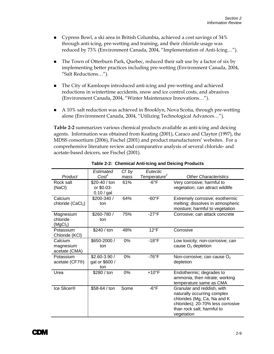- <span id="page-15-0"></span> Cypress Bowl, a ski area in British Columbia, achieved a cost savings of 34% through anti-icing, pre-wetting and training, and their chloride usage was reduced by 73% (Environment Canada, 2004, "Implementation of Anti-Icing…").
- The Town of Otterburn Park, Quebec, reduced their salt use by a factor of six by implementing better practices including pre-wetting (Environment Canada, 2004, "Salt Reductions…").
- The City of Kamloops introduced anti-icing and pre-wetting and achieved reductions in wintertime accidents, snow and ice control costs, and abrasives (Environment Canada, 2004, "Winter Maintenance Innovations…").
- A 10% salt reduction was achieved in Brooklyn, Nova Scotia, through pre-wetting alone (Environment Canada, 2004, "Utilizing Technological Advances…").

**Table 2-2** summarizes various chemical products available as anti-icing and deicing agents. Information was obtained from Keating (2001), Caraco and Claytor (1997), the MDSS consortium (2006), Fischel (2001) and product manufacturers' websites. For a comprehensive literature review and comparative analysis of several chloride- and acetate-based deicers, see Fischel (2001).

|                                  | Estimated                   | CI by | Eutectic                 |                                                                      |
|----------------------------------|-----------------------------|-------|--------------------------|----------------------------------------------------------------------|
| Product                          | $Cost^1$                    | mass  | Temperature <sup>2</sup> | <b>Other Characteristics</b>                                         |
| Rock salt<br>(NaCl)              | \$20-40 / ton<br>or \$0.03- | 61%   | $-6^{\circ}F$            | Very corrosive; harmful to<br>vegetation; can attract wildlife       |
|                                  | 0.10 / gal                  |       |                          |                                                                      |
| Calcium                          | \$200-340 /<br>ton          | 64%   | $-60^{\circ}F$           | Extremely corrosive; exothermic                                      |
| chloride (CaCl <sub>2</sub> )    |                             |       |                          | melting; dissolves in atmospheric<br>moisture; harmful to vegetation |
| Magnesium                        | \$260-780 /                 | 75%   | $-27^{\circ}F$           | Corrosive; can attack concrete                                       |
| chloride<br>(MgCl <sub>2</sub> ) | ton                         |       |                          |                                                                      |
| Potassium                        | \$240 / ton                 | 48%   | $12^{\circ}F$            | Corrosive                                                            |
| Chloride (KCI)                   |                             |       |                          |                                                                      |
| Calcium                          | \$650-2000 /                | 0%    | $-18$ °F                 | Low toxicity; non-corrosive; can                                     |
| magnesium<br>acetate (CMA)       | ton                         |       |                          | cause $O2$ depletion                                                 |
| Potassium                        | $$2.60-3.90/$               | 0%    | $-76^{\circ}F$           | Non-corrosive; can cause $O2$                                        |
| acetate (CF7 <sup>®</sup> )      | gal or \$600 /<br>ton       |       |                          | depletion                                                            |
| Urea                             | \$280 / ton                 | 0%    | $+10$ °F                 | Endothermic; degrades to                                             |
|                                  |                             |       |                          | ammonia, then nitrate; working<br>temperature same as CMA            |
| Ice Slicer®                      | \$58-64 / ton               | Some  | $-6^{\circ}F$            | Granular and reddish, with                                           |
|                                  |                             |       |                          | naturally occurring complex                                          |
|                                  |                             |       |                          | chlorides (Mg, Ca, Na and K                                          |
|                                  |                             |       |                          | chlorides); 20-70% less corrosive                                    |
|                                  |                             |       |                          | than rock salt; harmful to                                           |
|                                  |                             |       |                          | vegetation                                                           |

**Table 2-2: Chemical Anti-Icing and Deicing Products** 

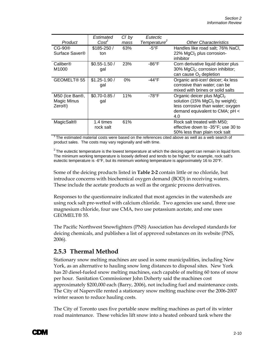<span id="page-16-0"></span>

|                         | Estimated         | C <sub>I</sub> by | Eutectic                 |                                              |
|-------------------------|-------------------|-------------------|--------------------------|----------------------------------------------|
| Product                 | Cost <sup>1</sup> | mass              | Temperature <sup>2</sup> | <b>Other Characteristics</b>                 |
| CG-90 <sup>®</sup>      | $$185-250/$       | 63%               | $-5^{\circ}$ F           | Handles like road salt; 76% NaCl,            |
| Surface Saver®          | ton               |                   |                          | 22% MgCl <sub>2</sub> plus corrosion-        |
|                         |                   |                   |                          | inhibitor                                    |
| Caliber®                | $$0.55-1.50/$     | 23%               | -86°F                    | Corn derivative liquid deicer plus           |
| M1000                   | gal               |                   |                          | 30% MgCl <sub>2</sub> ; corrosion inhibitor; |
|                         |                   |                   |                          | can cause $O2$ depletion                     |
| GEOMELT <sup>®</sup> 55 | $$1.25 - 1.90/$   | $0\%$             | -44°F                    | Organic anti-icer/ deicer; 4x less           |
|                         | gal               |                   |                          | corrosive than water; can be                 |
|                         |                   |                   |                          | mixed with brines or solid salts             |
| M50 (Ice Ban®,          | $$0.70 - 0.85/$   | 11%               | $-78^{\circ}$ F          | Organic deicer plus MgCl <sub>2</sub>        |
| Magic Minus             | gal               |                   |                          | solution (15% MgCl <sub>2</sub> by weight);  |
| Zero@                   |                   |                   |                          | less corrosive than water; oxygen            |
|                         |                   |                   |                          | demand equivalent to CMA; pH <               |
|                         |                   |                   |                          | 4.0                                          |
| MagicSalt®              | 1.4 times         | 61%               |                          | Rock salt treated with M50;                  |
|                         | rock salt         |                   |                          | effective down to -35°F; use 30 to           |
|                         |                   |                   |                          | 50% less than plain rock salt                |

 $1$ The estimated material costs were based on the references cited above as well as a web search of product sales. The costs may vary regionally and with time.

 $2$  The eutectic temperature is the lowest temperature at which the deicing agent can remain in liquid form. The minimum working temperature is loosely defined and tends to be higher; for example, rock salt's eutectic temperature is -6°F, but its minimum working temperature is approximately 16 to 20°F.

Some of the deicing products listed in **Table 2-2** contain little or no chloride, but introduce concerns with biochemical oxygen demand (BOD) in receiving waters. These include the acetate products as well as the organic process derivatives.

Responses to the questionnaire indicated that most agencies in the watersheds are using rock salt pre-wetted with calcium chloride. Two agencies use sand, three use magnesium chloride, four use CMA, two use potassium acetate, and one uses GEOMELT® 55.

The Pacific Northwest Snowfighters (PNS) Association has developed standards for deicing chemicals, and publishes a list of approved substances on its website (PNS, 2006).

#### **2.5.3 Thermal Method**

Stationary snow melting machines are used in some municipalities, including New York, as an alternative to hauling snow long distances to disposal sites. New York has 20 diesel-fueled snow melting machines, each capable of melting 60 tons of snow per hour. Sanitation Commissioner John Doherty said the machines cost approximately \$200,000 each (Barry, 2006), not including fuel and maintenance costs. The City of Naperville rented a stationary snow melting machine over the 2006-2007 winter season to reduce hauling costs.

The City of Toronto uses five portable snow melting machines as part of its winter road maintenance. These vehicles lift snow into a heated onboard tank where the

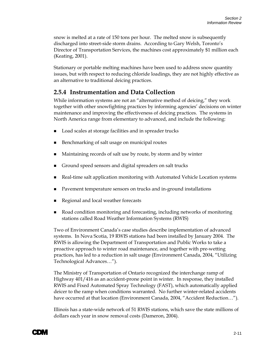<span id="page-17-0"></span>snow is melted at a rate of 150 tons per hour. The melted snow is subsequently discharged into street-side storm drains. According to Gary Welsh, Toronto's Director of Transportation Services, the machines cost approximately \$1 million each (Keating, 2001).

Stationary or portable melting machines have been used to address snow quantity issues, but with respect to reducing chloride loadings, they are not highly effective as an alternative to traditional deicing practices.

#### **2.5.4 Instrumentation and Data Collection**

While information systems are not an "alternative method of deicing," they work together with other snowfighting practices by informing agencies' decisions on winter maintenance and improving the effectiveness of deicing practices. The systems in North America range from elementary to advanced, and include the following:

- Load scales at storage facilities and in spreader trucks
- Benchmarking of salt usage on municipal routes
- Maintaining records of salt use by route, by storm and by winter
- Ground speed sensors and digital spreaders on salt trucks
- Real-time salt application monitoring with Automated Vehicle Location systems
- Pavement temperature sensors on trucks and in-ground installations
- Regional and local weather forecasts
- Road condition monitoring and forecasting, including networks of monitoring stations called Road Weather Information Systems (RWIS)

Two of Environment Canada's case studies describe implementation of advanced systems. In Nova Scotia, 19 RWIS stations had been installed by January 2004. The RWIS is allowing the Department of Transportation and Public Works to take a proactive approach to winter road maintenance, and together with pre-wetting practices, has led to a reduction in salt usage (Environment Canada, 2004, "Utilizing Technological Advances…").

The Ministry of Transportation of Ontario recognized the interchange ramp of Highway 401/416 as an accident-prone point in winter. In response, they installed RWIS and Fixed Automated Spray Technology (FAST), which automatically applied deicer to the ramp when conditions warranted. No further winter-related accidents have occurred at that location (Environment Canada, 2004, "Accident Reduction…").

Illinois has a state-wide network of 51 RWIS stations, which save the state millions of dollars each year in snow removal costs (Dameron, 2004).

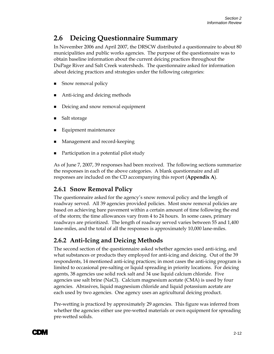# <span id="page-18-0"></span>**2.6 Deicing Questionnaire Summary**

In November 2006 and April 2007, the DRSCW distributed a questionnaire to about 80 municipalities and public works agencies. The purpose of the questionnaire was to obtain baseline information about the current deicing practices throughout the DuPage River and Salt Creek watersheds. The questionnaire asked for information about deicing practices and strategies under the following categories:

- Snow removal policy
- Anti-icing and deicing methods
- Deicing and snow removal equipment
- Salt storage
- Equipment maintenance
- Management and record-keeping
- Participation in a potential pilot study

As of June 7, 2007, 39 responses had been received. The following sections summarize the responses in each of the above categories. A blank questionnaire and all responses are included on the CD accompanying this report (**Appendix A**).

#### **2.6.1 Snow Removal Policy**

The questionnaire asked for the agency's snow removal policy and the length of roadway served. All 39 agencies provided policies. Most snow removal policies are based on achieving bare pavement within a certain amount of time following the end of the storm; the time allowances vary from 4 to 24 hours. In some cases, primary roadways are prioritized. The length of roadway served varies between 55 and 1,400 lane-miles, and the total of all the responses is approximately 10,000 lane-miles.

#### **2.6.2 Anti-Icing and Deicing Methods**

The second section of the questionnaire asked whether agencies used anti-icing, and what substances or products they employed for anti-icing and deicing. Out of the 39 respondents, 14 mentioned anti-icing practices; in most cases the anti-icing program is limited to occasional pre-salting or liquid spreading in priority locations. For deicing agents, 38 agencies use solid rock salt and 34 use liquid calcium chloride. Five agencies use salt brine (NaCl). Calcium magnesium acetate (CMA) is used by four agencies. Abrasives, liquid magnesium chloride and liquid potassium acetate are each used by two agencies. One agency uses an agricultural deicing product.

Pre-wetting is practiced by approximately 29 agencies. This figure was inferred from whether the agencies either use pre-wetted materials or own equipment for spreading pre-wetted solids.

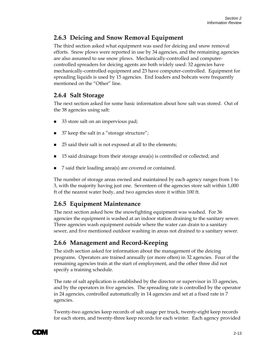#### <span id="page-19-0"></span>**2.6.3 Deicing and Snow Removal Equipment**

The third section asked what equipment was used for deicing and snow removal efforts. Snow plows were reported in use by 34 agencies, and the remaining agencies are also assumed to use snow plows. Mechanically-controlled and computercontrolled spreaders for deicing agents are both widely used: 32 agencies have mechanically-controlled equipment and 23 have computer-controlled. Equipment for spreading liquids is used by 15 agencies. End loaders and bobcats were frequently mentioned on the "Other" line.

#### **2.6.4 Salt Storage**

The next section asked for some basic information about how salt was stored. Out of the 38 agencies using salt:

- 33 store salt on an impervious pad;
- 37 keep the salt in a "storage structure";
- 25 said their salt is not exposed at all to the elements;
- 15 said drainage from their storage area(s) is controlled or collected; and
- 7 said their loading area(s) are covered or contained.

The number of storage areas owned and maintained by each agency ranges from 1 to 3, with the majority having just one. Seventeen of the agencies store salt within 1,000 ft of the nearest water body, and two agencies store it within 100 ft.

#### **2.6.5 Equipment Maintenance**

The next section asked how the snowfighting equipment was washed. For 36 agencies the equipment is washed at an indoor station draining to the sanitary sewer. Three agencies wash equipment outside where the water can drain to a sanitary sewer, and five mentioned outdoor washing in areas not drained to a sanitary sewer.

#### **2.6.6 Management and Record-Keeping**

The sixth section asked for information about the management of the deicing programs. Operators are trained annually (or more often) in 32 agencies. Four of the remaining agencies train at the start of employment, and the other three did not specify a training schedule.

The rate of salt application is established by the director or supervisor in 33 agencies, and by the operators in five agencies. The spreading rate is controlled by the operator in 24 agencies, controlled automatically in 14 agencies and set at a fixed rate in 7 agencies.

Twenty-two agencies keep records of salt usage per truck, twenty-eight keep records for each storm, and twenty-three keep records for each winter. Each agency provided

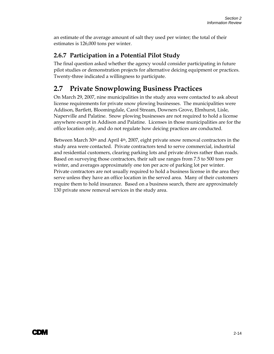<span id="page-20-0"></span>an estimate of the average amount of salt they used per winter; the total of their estimates is 126,000 tons per winter.

#### **2.6.7 Participation in a Potential Pilot Study**

The final question asked whether the agency would consider participating in future pilot studies or demonstration projects for alternative deicing equipment or practices. Twenty-three indicated a willingness to participate.

### **2.7 Private Snowplowing Business Practices**

On March 29, 2007, nine municipalities in the study area were contacted to ask about license requirements for private snow plowing businesses. The municipalities were Addison, Bartlett, Bloomingdale, Carol Stream, Downers Grove, Elmhurst, Lisle, Naperville and Palatine. Snow plowing businesses are not required to hold a license anywhere except in Addison and Palatine. Licenses in those municipalities are for the office location only, and do not regulate how deicing practices are conducted.

Between March  $30<sup>th</sup>$  and April 4<sup>th</sup>, 2007, eight private snow removal contractors in the study area were contacted. Private contractors tend to serve commercial, industrial and residential customers, clearing parking lots and private drives rather than roads. Based on surveying those contractors, their salt use ranges from 7.5 to 500 tons per winter, and averages approximately one ton per acre of parking lot per winter. Private contractors are not usually required to hold a business license in the area they serve unless they have an office location in the served area. Many of their customers require them to hold insurance. Based on a business search, there are approximately 130 private snow removal services in the study area.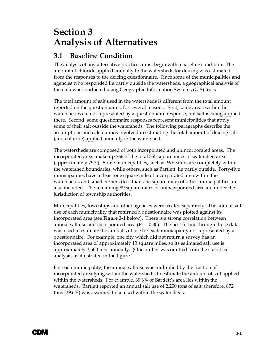# <span id="page-21-0"></span>**Section 3 Analysis of Alternatives**

### **3.1 Baseline Condition**

The analysis of any alternative practices must begin with a baseline condition. The amount of chloride applied annually to the watersheds for deicing was estimated from the responses to the deicing questionnaire. Since some of the municipalities and agencies who responded lie partly outside the watersheds, a geographical analysis of the data was conducted using Geographic Information Systems (GIS) tools.

The total amount of salt used in the watersheds is different from the total amount reported on the questionnaires, for several reasons. First, some areas within the watershed were not represented by a questionnaire response, but salt is being applied there. Second, some questionnaire responses represent municipalities that apply some of their salt outside the watersheds. The following paragraphs describe the assumptions and calculations involved in estimating the total amount of deicing salt (and chloride) applied annually in the watersheds.

The watersheds are composed of both incorporated and unincorporated areas. The incorporated areas make up 266 of the total 355 square miles of watershed area (approximately 75%). Some municipalities, such as Wheaton, are completely within the watershed boundaries, while others, such as Bartlett, lie partly outside. Forty-five municipalities have at least one square mile of incorporated area within the watersheds, and small corners (less than one square mile) of other municipalities are also included. The remaining 89 square miles of unincorporated area are under the jurisdiction of township authorities.

Municipalities, townships and other agencies were treated separately. The annual salt use of each municipality that returned a questionnaire was plotted against its incorporated area (see **Figure 3-1** below). There is a strong correlation between annual salt use and incorporated area ( $R^2 = 0.80$ ). The best fit line through those data was used to estimate the annual salt use for each municipality not represented by a questionnaire. For example, one city which did not return a survey has an incorporated area of approximately 13 square miles, so its estimated salt use is approximately 3,500 tons annually. (One outlier was omitted from the statistical analysis, as illustrated in the figure.)

For each municipality, the annual salt use was multiplied by the fraction of incorporated area lying within the watersheds, to estimate the amount of salt applied within the watersheds. For example, 39.6% of Bartlett's area lies within the watersheds. Bartlett reported an annual salt use of 2,200 tons of salt; therefore, 872 tons (39.6%) was assumed to be used within the watersheds.

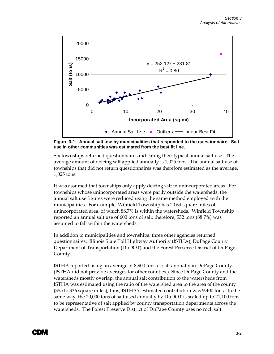

**Figure 3-1: Annual salt use by municipalities that responded to the questionnaire. Salt use in other communities was estimated from the best fit line.** 

Six townships returned questionnaires indicating their typical annual salt use. The average amount of deicing salt applied annually is 1,025 tons. The annual salt use of townships that did not return questionnaires was therefore estimated as the average, 1,025 tons.

It was assumed that townships only apply deicing salt in unincorporated areas. For townships whose unincorporated areas were partly outside the watersheds, the annual salt use figures were reduced using the same method employed with the municipalities. For example, Winfield Township has 20.64 square miles of unincorporated area, of which 88.7% is within the watersheds. Winfield Township reported an annual salt use of 600 tons of salt; therefore, 532 tons (88.7%) was assumed to fall within the watersheds.

In addition to municipalities and townships, three other agencies returned questionnaires: Illinois State Toll Highway Authority (ISTHA), DuPage County Department of Transportation (DuDOT) and the Forest Preserve District of DuPage County.

ISTHA reported using an average of 8,900 tons of salt annually in DuPage County. (ISTHA did not provide averages for other counties.) Since DuPage County and the watersheds mostly overlap, the annual salt contribution to the watersheds from ISTHA was estimated using the ratio of the watershed area to the area of the county (355 to 336 square miles); thus, ISTHA's estimated contribution was 9,400 tons. In the same way, the 20,000 tons of salt used annually by DuDOT is scaled up to 21,100 tons to be representative of salt applied by county transportation departments across the watersheds. The Forest Preserve District of DuPage County uses no rock salt.

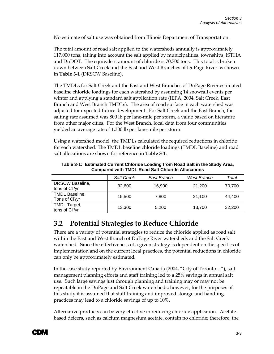<span id="page-23-0"></span>No estimate of salt use was obtained from Illinois Department of Transportation.

The total amount of road salt applied to the watersheds annually is approximately 117,000 tons, taking into account the salt applied by municipalities, townships, ISTHA and DuDOT. The equivalent amount of chloride is 70,700 tons. This total is broken down between Salt Creek and the East and West Branches of DuPage River as shown in **Table 3-1** (DRSCW Baseline).

The TMDLs for Salt Creek and the East and West Branches of DuPage River estimated baseline chloride loadings for each watershed by assuming 14 snowfall events per winter and applying a standard salt application rate (IEPA, 2004, Salt Creek, East Branch and West Branch TMDLs). The area of road surface in each watershed was adjusted for expected future development. For Salt Creek and the East Branch, the salting rate assumed was 800 lb per lane-mile per storm, a value based on literature from other major cities. For the West Branch, local data from four communities yielded an average rate of 1,300 lb per lane-mile per storm.

Using a watershed model, the TMDLs calculated the required reductions in chloride for each watershed. The TMDL baseline chloride loadings (TMDL Baseline) and road salt allocations are shown for reference in **Table 3-1**.

|                                                     | <b>Salt Creek</b> | East Branch | West Branch | Total  |
|-----------------------------------------------------|-------------------|-------------|-------------|--------|
| <b>DRSCW Baseline,</b><br>tons of CI/yr             | 32,600            | 16.900      | 21.200      | 70,700 |
| <b>TMDL Baseline,</b><br>Tons of Cl <sup>'/yr</sup> | 15,500            | 7.800       | 21.100      | 44.400 |
| <b>TMDL Target,</b><br>tons of Cl /yr               | 13,300            | 5,200       | 13,700      | 32,200 |

**Table 3-1: Estimated Current Chloride Loading from Road Salt in the Study Area, Compared with TMDL Road Salt Chloride Allocations** 

### **3.2 Potential Strategies to Reduce Chloride**

There are a variety of potential strategies to reduce the chloride applied as road salt within the East and West Branch of DuPage River watersheds and the Salt Creek watershed. Since the effectiveness of a given strategy is dependent on the specifics of implementation and on the current local practices, the potential reductions in chloride can only be approximately estimated.

In the case study reported by Environment Canada (2004, "City of Toronto…"), salt management planning efforts and staff training led to a 25% savings in annual salt use. Such large savings just through planning and training may or may not be repeatable in the DuPage and Salt Creek watersheds; however, for the purposes of this study it is assumed that staff training and improved storage and handling practices may lead to a chloride savings of up to 10%.

Alternative products can be very effective in reducing chloride application. Acetatebased deicers, such as calcium magnesium acetate, contain no chloride; therefore, the

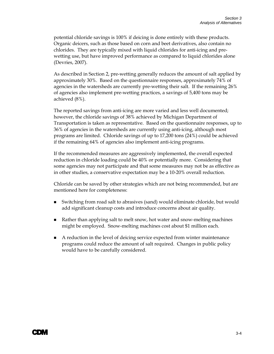potential chloride savings is 100% if deicing is done entirely with these products. Organic deicers, such as those based on corn and beet derivatives, also contain no chlorides. They are typically mixed with liquid chlorides for anti-icing and prewetting use, but have improved performance as compared to liquid chlorides alone (Devries, 2007).

As described in Section 2, pre-wetting generally reduces the amount of salt applied by approximately 30%. Based on the questionnaire responses, approximately 74% of agencies in the watersheds are currently pre-wetting their salt. If the remaining 26% of agencies also implement pre-wetting practices, a savings of 5,400 tons may be achieved (8%).

The reported savings from anti-icing are more varied and less well documented; however, the chloride savings of 38% achieved by Michigan Department of Transportation is taken as representative. Based on the questionnaire responses, up to 36% of agencies in the watersheds are currently using anti-icing, although most programs are limited. Chloride savings of up to 17,200 tons (24%) could be achieved if the remaining 64% of agencies also implement anti-icing programs.

If the recommended measures are aggressively implemented, the overall expected reduction in chloride loading could be 40% or potentially more. Considering that some agencies may not participate and that some measures may not be as effective as in other studies, a conservative expectation may be a 10-20% overall reduction.

Chloride can be saved by other strategies which are not being recommended, but are mentioned here for completeness:

- Switching from road salt to abrasives (sand) would eliminate chloride, but would add significant cleanup costs and introduce concerns about air quality.
- Rather than applying salt to melt snow, hot water and snow-melting machines might be employed. Snow-melting machines cost about \$1 million each.
- A reduction in the level of deicing service expected from winter maintenance programs could reduce the amount of salt required. Changes in public policy would have to be carefully considered.

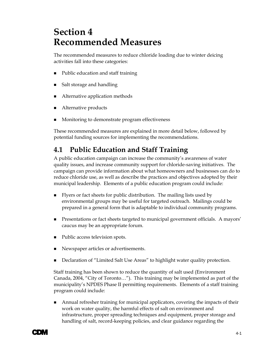# <span id="page-25-0"></span>**Section 4 Recommended Measures**

The recommended measures to reduce chloride loading due to winter deicing activities fall into these categories:

- Public education and staff training
- Salt storage and handling
- Alternative application methods
- Alternative products
- Monitoring to demonstrate program effectiveness

These recommended measures are explained in more detail below, followed by potential funding sources for implementing the recommendations.

### **4.1 Public Education and Staff Training**

A public education campaign can increase the community's awareness of water quality issues, and increase community support for chloride-saving initiatives. The campaign can provide information about what homeowners and businesses can do to reduce chloride use, as well as describe the practices and objectives adopted by their municipal leadership. Elements of a public education program could include:

- Flyers or fact sheets for public distribution. The mailing lists used by environmental groups may be useful for targeted outreach. Mailings could be prepared in a general form that is adaptable to individual community programs.
- Presentations or fact sheets targeted to municipal government officials. A mayors' caucus may be an appropriate forum.
- Public access television spots.
- Newspaper articles or advertisements.
- Declaration of "Limited Salt Use Areas" to highlight water quality protection.

Staff training has been shown to reduce the quantity of salt used (Environment Canada, 2004, "City of Toronto…"). This training may be implemented as part of the municipality's NPDES Phase II permitting requirements. Elements of a staff training program could include:

 Annual refresher training for municipal applicators, covering the impacts of their work on water quality, the harmful effects of salt on environment and infrastructure, proper spreading techniques and equipment, proper storage and handling of salt, record-keeping policies, and clear guidance regarding the

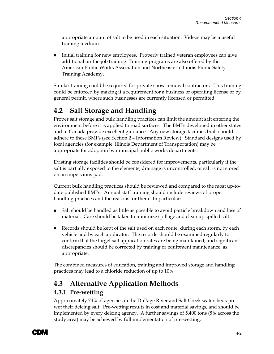<span id="page-26-0"></span>appropriate amount of salt to be used in each situation. Videos may be a useful training medium.

 Initial training for new employees. Properly trained veteran employees can give additional on-the-job training. Training programs are also offered by the American Public Works Association and Northeastern Illinois Public Safety Training Academy.

Similar training could be required for private snow removal contractors. This training could be enforced by making it a requirement for a business or operating license or by general permit, where such businesses are currently licensed or permitted.

# **4.2 Salt Storage and Handling**

Proper salt storage and bulk handling practices can limit the amount salt entering the environment before it is applied to road surfaces. The BMPs developed in other states and in Canada provide excellent guidance. Any new storage facilities built should adhere to these BMPs (see Section 2 – Information Review). Standard designs used by local agencies (for example, Illinois Department of Transportation) may be appropriate for adoption by municipal public works departments.

Existing storage facilities should be considered for improvements, particularly if the salt is partially exposed to the elements, drainage is uncontrolled, or salt is not stored on an impervious pad.

Current bulk handling practices should be reviewed and compared to the most up-todate published BMPs. Annual staff training should include reviews of proper handling practices and the reasons for them. In particular:

- Salt should be handled as little as possible to avoid particle breakdown and loss of material. Care should be taken to minimize spillage and clean up spilled salt.
- Records should be kept of the salt used on each route, during each storm, by each vehicle and by each applicator. The records should be examined regularly to confirm that the target salt application rates are being maintained, and significant discrepancies should be corrected by training or equipment maintenance, as appropriate.

The combined measures of education, training and improved storage and handling practices may lead to a chloride reduction of up to 10%.

# **4.3 Alternative Application Methods**

#### **4.3.1 Pre-wetting**

Approximately 74% of agencies in the DuPage River and Salt Creek watersheds prewet their deicing salt. Pre-wetting results in cost and material savings, and should be implemented by every deicing agency. A further savings of 5,400 tons (8% across the study area) may be achieved by full implementation of pre-wetting.

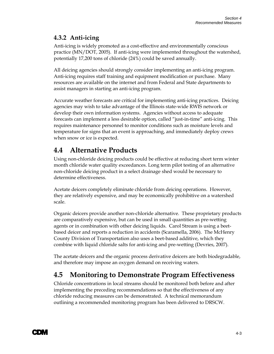#### <span id="page-27-0"></span>**4.3.2 Anti-icing**

Anti-icing is widely promoted as a cost-effective and environmentally conscious practice (MN/DOT, 2005). If anti-icing were implemented throughout the watershed, potentially 17,200 tons of chloride (24%) could be saved annually.

All deicing agencies should strongly consider implementing an anti-icing program. Anti-icing requires staff training and equipment modification or purchase. Many resources are available on the internet and from Federal and State departments to assist managers in starting an anti-icing program.

Accurate weather forecasts are critical for implementing anti-icing practices. Deicing agencies may wish to take advantage of the Illinois state-wide RWIS network or develop their own information systems. Agencies without access to adequate forecasts can implement a less desirable option, called "just-in-time" anti-icing. This requires maintenance personnel to monitor conditions such as moisture levels and temperature for signs that an event is approaching, and immediately deploy crews when snow or ice is expected.

# **4.4 Alternative Products**

Using non-chloride deicing products could be effective at reducing short term winter month chloride water quality exceedances. Long term pilot testing of an alternative non-chloride deicing product in a select drainage shed would be necessary to determine effectiveness.

Acetate deicers completely eliminate chloride from deicing operations. However, they are relatively expensive, and may be economically prohibitive on a watershed scale.

Organic deicers provide another non-chloride alternative. These proprietary products are comparatively expensive, but can be used in small quantities as pre-wetting agents or in combination with other deicing liquids. Carol Stream is using a beetbased deicer and reports a reduction in accidents (Scaramella, 2006). The McHenry County Division of Transportation also uses a beet-based additive, which they combine with liquid chloride salts for anti-icing and pre-wetting (Devries, 2007).

The acetate deicers and the organic process derivative deicers are both biodegradable, and therefore may impose an oxygen demand on receiving waters.

# **4.5 Monitoring to Demonstrate Program Effectiveness**

Chloride concentrations in local streams should be monitored both before and after implementing the preceding recommendations so that the effectiveness of any chloride reducing measures can be demonstrated. A technical memorandum outlining a recommended monitoring program has been delivered to DRSCW.

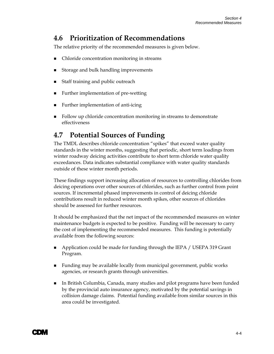### <span id="page-28-0"></span>**4.6 Prioritization of Recommendations**

The relative priority of the recommended measures is given below.

- Chloride concentration monitoring in streams
- Storage and bulk handling improvements
- Staff training and public outreach
- Further implementation of pre-wetting
- Further implementation of anti-icing
- Follow up chloride concentration monitoring in streams to demonstrate effectiveness

### **4.7 Potential Sources of Funding**

The TMDL describes chloride concentration "spikes" that exceed water quality standards in the winter months, suggesting that periodic, short term loadings from winter roadway deicing activities contribute to short term chloride water quality exceedances. Data indicates substantial compliance with water quality standards outside of these winter month periods.

These findings support increasing allocation of resources to controlling chlorides from deicing operations over other sources of chlorides, such as further control from point sources. If incremental phased improvements in control of deicing chloride contributions result in reduced winter month spikes, other sources of chlorides should be assessed for further resources.

It should be emphasized that the net impact of the recommended measures on winter maintenance budgets is expected to be positive. Funding will be necessary to carry the cost of implementing the recommended measures. This funding is potentially available from the following sources:

- Application could be made for funding through the IEPA / USEPA 319 Grant Program.
- Funding may be available locally from municipal government, public works agencies, or research grants through universities.
- In British Columbia, Canada, many studies and pilot programs have been funded by the provincial auto insurance agency, motivated by the potential savings in collision damage claims. Potential funding available from similar sources in this area could be investigated.

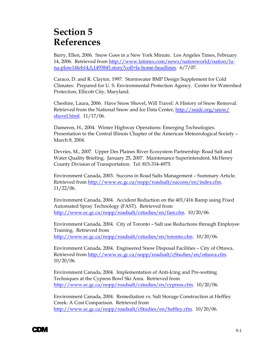# <span id="page-29-0"></span>**Section 5 References**

Barry, Ellen, 2006. Snow Goes in a New York Minute. Los Angeles Times, February 14, 2006. Retrieved from [http://www.latimes.com/news/nationworld/nation/la](http://www.latimes.com/news/nationworld/nation/la-na-plow14feb14,0,1493845.story?coll=la-home-headlines)[na-plow14feb14,0,1493845.story?coll=la-home-headlines.](http://www.latimes.com/news/nationworld/nation/la-na-plow14feb14,0,1493845.story?coll=la-home-headlines) 6/7/07.

Caraco, D. and R. Claytor, 1997. Stormwater BMP Design Supplement for Cold Climates: Prepared for U. S. Environmental Protection Agency. Center for Watershed Protection, Ellicott City, Maryland.

Cheshire, Laura, 2006. Have Snow Shovel, Will Travel: A History of Snow Removal. Retrieved from the National Snow and Ice Data Center, [http://nsidc.org/snow/](http://nsidc.org/snow/%20shovel.html)  [shovel.html.](http://nsidc.org/snow/%20shovel.html) 11/17/06.

Dameron, H., 2004. Winter Highway Operations: Emerging Technologies. Presentation to the Central Illinois Chapter of the American Meteorological Society – March 8, 2004.

Devries, M., 2007. Upper Des Plaines River Ecosystem Partnership: Road Salt and Water Quality Briefing. January 25, 2007. Maintenance Superintendent, McHenry County Division of Transportation. Tel: 815-334-4975.

Environment Canada, 2003. Success in Road Salts Management – Summary Article. Retrieved from <http://www.ec.gc.ca/nopp/roadsalt/success/en/index.cfm>. 11/22/06.

Environment Canada, 2004. Accident Reduction on the 401/416 Ramp using Fixed Automated Spray Technology (FAST). Retrieved from [http://www.ec.gc.ca/nopp/roadsalt/cstudies/en/fast.cfm.](http://www.ec.gc.ca/nopp/roadsalt/cstudies/en/fast.cfm) 10/20/06.

Environment Canada, 2004. City of Toronto – Salt use Reductions through Employee Training. Retrieved from [http://www.ec.gc.ca/nopp/roadsalt/cstudies/en/toronto.cfm.](http://www.ec.gc.ca/nopp/roadsalt/cstudies/en/toronto.cfm) 10/20/06.

Environment Canada, 2004. Engineered Snow Disposal Facilities – City of Ottawa. Retrieved from <http://www.ec.gc.ca/nopp/roadsalt/cStudies/en/ottawa.cfm>. 10/20/06.

Environment Canada, 2004. Implementation of Anti-Icing and Pre-wetting Techniques at the Cypress Bowl Ski Area. Retrieved from <http://www.ec.gc.ca/nopp/roadsalt/cstudies/en/cypress.cfm>. 10/20/06.

Environment Canada, 2004. Remediation vs. Salt Storage Construction at Heffley Creek: A Cost Comparison. Retrieved from <http://www.ec.gc.ca/nopp/roadsalt/cStudies/en/heffley.cfm>. 10/20/06.

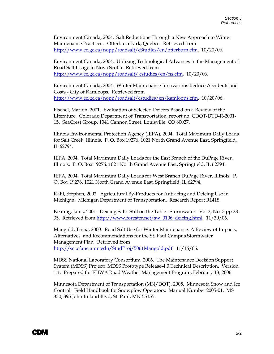Environment Canada, 2004. Salt Reductions Through a New Approach to Winter Maintenance Practices – Otterburn Park, Quebec. Retrieved from [http://www.ec.gc.ca/nopp/roadsalt/cStudies/en/otterburn.cfm.](http://www.ec.gc.ca/nopp/roadsalt/cStudies/en/otterburn.cfm) 10/20/06.

Environment Canada, 2004. Utilizing Technological Advances in the Management of Road Salt Usage in Nova Scotia. Retrieved from [http://www.ec.gc.ca/nopp/roadsalt/ cstudies/en/ns.cfm](http://www.ec.gc.ca/nopp/roadsalt/%20cstudies/en/ns.cfm). 10/20/06.

Environment Canada, 2004. Winter Maintenance Innovations Reduce Accidents and Costs - City of Kamloops. Retrieved from <http://www.ec.gc.ca/nopp/roadsalt/cstudies/en/kamloops.cfm>. 10/20/06.

Fischel, Marion, 2001. Evaluation of Selected Deicers Based on a Review of the Literature. Colorado Department of Transportation, report no. CDOT-DTD-R-2001- 15. SeaCrest Group, 1341 Cannon Street, Louisville, CO 80027.

Illinois Environmental Protection Agency (IEPA), 2004. Total Maximum Daily Loads for Salt Creek, Illinois. P. O. Box 19276, 1021 North Grand Avenue East, Springfield, IL 62794.

IEPA, 2004. Total Maximum Daily Loads for the East Branch of the DuPage River, Illinois. P. O. Box 19276, 1021 North Grand Avenue East, Springfield, IL 62794.

IEPA, 2004. Total Maximum Daily Loads for West Branch DuPage River, Illinois. P. O. Box 19276, 1021 North Grand Avenue East, Springfield, IL 62794.

Kahl, Stephen, 2002. Agricultural By-Products for Anti-icing and Deicing Use in Michigan. Michigan Department of Transportation. Research Report R1418.

Keating, Janis, 2001. Deicing Salt: Still on the Table. Stormwater. Vol 2, No. 3 pp 28- 35. Retrieved from [http://www.forester.net/sw\\_0106\\_deicing.html.](http://www.forester.net/sw_0106_deicing.html) 11/30/06.

Mangold, Tricia, 2000. Road Salt Use for Winter Maintenance: A Review of Impacts, Alternatives, and Recommendations for the St. Paul Campus Stormwater Management Plan. Retrieved from [http://sci.cfans.umn.edu/StudProj/5061Mangold.pdf.](http://sci.cfans.umn.edu/StudProj/5061Mangold.pdf) 11/16/06.

MDSS National Laboratory Consortium, 2006. The Maintenance Decision Support System (MDSS) Project: MDSS Prototype Release-4.0 Technical Description. Version 1.1. Prepared for FHWA Road Weather Management Program, February 13, 2006.

Minnesota Department of Transportation (MN/DOT), 2005. Minnesota Snow and Ice Control: Field Handbook for Snowplow Operators. Manual Number 2005-01. MS 330, 395 John Ireland Blvd, St. Paul, MN 55155.